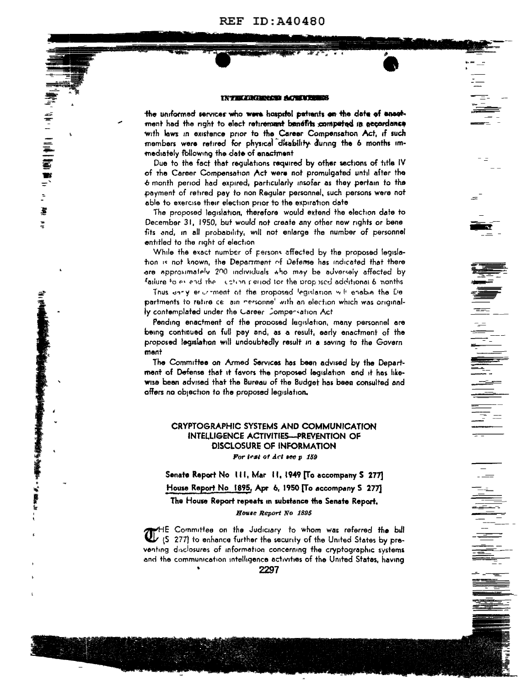**REF ID:A40480** 

#### **INTELERGENCE ACHINERS**

the uniformed services who were haspitel patients on the date of anoghment had the noht to elect returement benefits computed in accordance with laws in existence prior to the Career Compensation Act, if such members were retired for physical disability during the 6 months immediately following the date of anactment

「美好」 11年 | 11年 | 11年 | 11月 | 11月 | 11月 | 11月 | 11月 | 11月 | 11月 | 11月 | 11月 | 11月 | 11月 | 11月 | 11日 | 11月 | 11月 |

I

¥

**The Secret Concession of the Secret Concession** 

k

Due to the fact that requiations required by other sections of title IV of the Career Compensation Act were not promulgated until after the 6 month period had expired, particularly insofar as they pertain to the payment of retired pay to non Requiar personnel, such persons were not able to exercise their election prior to the expiration date

The proposed legislation, therefore would extend the election date to December 31, 1950, but would not create any other new rights or bene fits and, in all probability, will not enlarge the number of personnel entitled to the right of election

While the exact number of persons affected by the proposed legislation is not known, the Department of Defense has indicated that there are approximately 200 individuals tho may be adversely affected by failure to extend the list on period for the proposed additional 6 nonths

Thus anny encomment of the proposed legislation will enable the De partments to ratire ce ain nersonne' with an election which was originally contemplated under the Gareer Compersation Act

Pending enactment of the proposed legislation, many personnel are being continued on full pay and, as a result, early enactment of the proposed legislation will undoubtedly result in a saving to the Govern ment

The Committee on Armed Services has been advised by the Department of Defense that it favors the proposed legislation and it has likewise been advised that the Bureau of the Budget has been consulted and offers no objection to the proposed legislation.

# **CRYPTOGRAPHIC SYSTEMS AND COMMUNICATION INTELLIGENCE ACTIVITIES-PREVENTION OF** DISCLOSURE OF INFORMATION For leat of Act see p 159

Senate Report No 111, Mar 11, 1949 [To accompany S 277] House Report No. 1895, Apr. 6, 1950 [To accompany S 277]

The House Report repeats in substance the Senate Report. House Report No 1895

HE Committee on the Judiciary to whom was referred the bill U (S 277) to enhance further the security of the United States by preventing disclosures of information concerning the cryptographic systems and the communication intelligence activities of the United States, having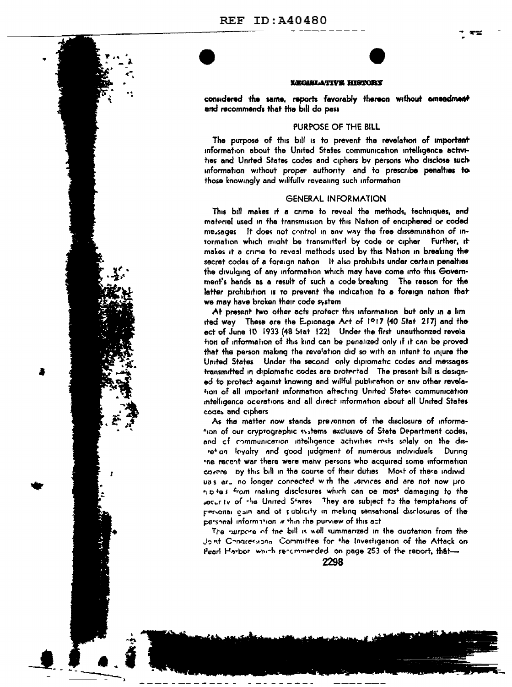

#### LEGISLATIVE HISTORY

considered the same, reports favorably thereon without amendment and recommends that the bill do pass

## PURPOSE OF THE BILL

The purpose of this bill is to prevent the revelation of important information about the United States communication intelligence activities and United States codes and ciphers by persons who disclose such information without proper authority and to prescribe penalties to those knowingly and willfully reveating such information

### **GENERAL INFORMATION**

This bill makes it a crime to reveal the methods, techniques, and materiel used in the transmission by this Nation of enciphered or coded me sages it does not control in any way the free dissemination of intormation which might be transmitted by code or cipher Further, it makes it a crime to reveal methods used by this Nation in breaking the secret codes of a foreign nation it also prohibits under certain penalties the divulging of any information which may have come into this Government's hands as a result of such a code breaking The reason for the latter prohibition is to prevent the indication to a foreign nation that we may have broken their code system

At present two other acts protect this information but only in a lim ited way These are the Explorage Art of 1917 (40 Stat 217) and the act of June 10 1933 (48 Stat 122) Under the first unauthorized revela hon of information of this kind can be penalized only if it can be proved that the person making the revelation did so with an intent to injure the United States Under the second only dipiomatic codes and messages transmitted in diplomatic codes are protected. The present bill is designed to protect against knowing and willful publication or any other revelation of all important information aftecting United States communication intelligence ocerations and all direct information about all United States codes and ciphers

As the matter now stands prevontion of the disclosure of information of our cryptographic systems exclusive of State Department codes, and of communication intelligence activities rests solely on the disretion levalty and good judgment of numerous individuals. During the recont war there were many persons who acquired some information cavere by this bill in the course of their duties. Most of these individuss aru no longer connected with the services and are not now pron p te s from making disclosures which can be most damaging to the socurity of the United States. They are subject to the temptations of personal gain and of publicity in meking sensational disclosures of the personal information within the purview of this act

The nurbose of the bill is well summerized in the quotation from the dont Congressional Committee for the Investigation of the Attack on Pearl Harbor which recommerded on page 253 of the report, that-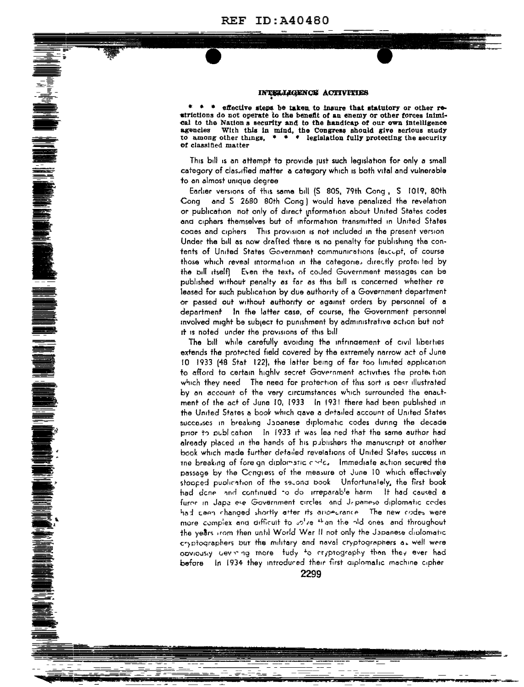#### INTELLIGENCE ACTIVITIES

effective steps be taken to insure that statutory or other reatrictions do not operate to the benefit of an enemy or other forces inimical to the Nations security and to the handicap of our own intelligence agencies With this in mind, the Congress should give serious study to among other things.  $\bullet \bullet \bullet \bullet$  legislation fully protecting the security of classified matter

This bill is an attempt to provide just such legislation for only a small category of classified matter a category which is both vital and vulnerable to an almost unique degree

Earlier versions of this same bill (S 805, 79th Cong, S 1019, 80th Cong and 5 2680 80th Cong) would have penalized the revelation or publication not only of direct information about United States codes and ciphers themselves but of information transmitted in United States codes and ciphers. This provision is not included in the present version Under the bill as now drafted there is no penalty for publishing the contents of United States Government communications (excupt, of course those which reveal intormation in the categories directly protected by the bill itselft. Even the texts of coded Government messages can be published without penalty as far as this bill is concerned whether re leased for such publication by due authority of a Government department or passed out without authority or against orders by personnel of a department in the latter case, of course, the Government personnel involved might be subject to punishment by administrative action but not it is noted under the provisions of this bill

**RADIO SOLONIA SE PROTECTO DE LA PROVISIONE DE LA PROTECTO DE LA PROTECTO DE LA PROTECTO DE LA PROTECTO DE LA PROTECTO DE LA PROTECTO DE LA PROTECTO DE LA PROTECTO DE LA PROTECTO DE LA PROTECTO DE LA PROTECTO DE LA PROTECT** 

The bill while carefully avoiding the infringement of civil liberties extends the protected field covered by the extremely narrow act of June 10 1933 (48 Stat 122), the latter being of far too limited application to afford to certain highly secret Government activities the protection which they need. The need for protection of this sort is pest illustrated by an account of the very circumstances which surrounded the enactment of the act of June 10, 1933 In 1931 there had been published in the United States a book which gave a detailed account of United States successes in breaking Japanese diplomatic codes during the decade prior to publication. In 1933 it was lea ned that the same author had already placed in the hands of his publishers the manuscript ot another book which made further detailed revelations of United States success in the breaking of fore an diplomatic childs. Immediate action secured the passage by the Congress of the measure of June 10 which effectively stapped publication of the second book. Unfortunately, the first book had done and continued to do irreparable harm. It had caused a furor in Japa ese Government circles and Japanese diplomatic codes had ceen changed shortly after its ampecrance. The new codes were more complex and difficult to intro the the hid ones and throughout the years from then until World War II not only the Japanese diplomatic cryptographers but the military and naval cryptographers as well were opviously cevining more tudy to cryptography than they ever had before in 1934 they introduced their first aiplomatic machine cipher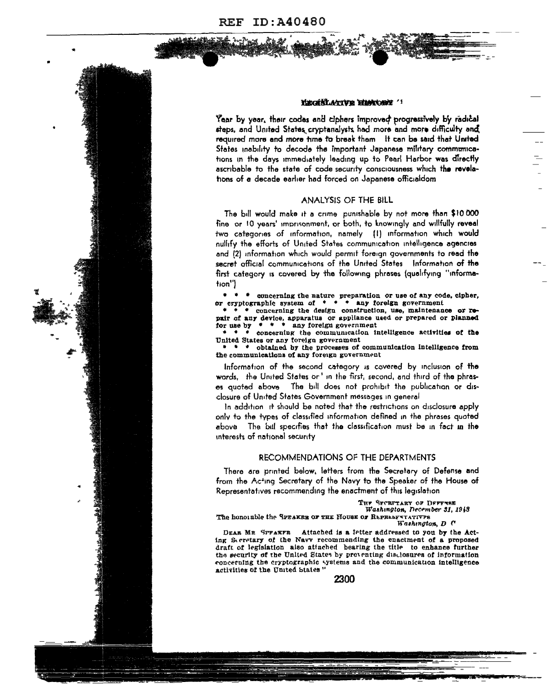



#### EXCHALATIVE HIMPORE '

Year by year, their codes and ciphers improved progressively by radical steps, and United States cryptanalysts had more and more difficulty and required more and more time to break them It can be said that United States inability to decode the important Japanese military communications in the days immediately leading up to Pearl Harbor was directly ascribable to the state of code security consciousness which the revelations of a decade earlier had forced on Japanese officialdom

#### ANALYSIS OF THE BILL

The bill would make it a crime punishable by not more than \$10,000 fine or 10 years' imprisonment, or both, to knowingly and willfully reveal two categories of information, namely [1] information which would nullify the efforts of United States communication intelligence agencies and (2) information which would permit foreign governments to read the secret official communications of the United States Information of the first category is covered by the following phrases (qualifying "information")

\* \* \* concerning the nature preparation or use of any code, cipher,<br>or cryptographic system of \* \* \* any foreign government

\* concerning the design construction, use, maintenance or repair of any device, apparatus or appliance used or prepared or planned for use by  $* * *$  any foreign government

\* \* \* concerning the communication intelligence activities of the United States or any foreign government

\* \* obtained by the processes of communication intelligence from the communications of any foreign government

information of the second category is covered by inclusion of the words, the United States or' in the first, second, and third of the phrases quoted above The bill does not prohibit the publication or disclosure of United States Government messages in general

In addition it should be noted that the restrictions on disclosure apply only to the types of classified information defined in the phrases quoted above. The bill specifies that the classification must be in fact in the interests of national security

#### RECOMMENDATIONS OF THE DEPARTMENTS

There are printed below, letters from the Secretary of Defense and from the Acting Secretary of the Navy to the Speaker of the House of Representatives recommending the enactment of this legislation

> THE SECRETARY OF DEFFURE Washington, December 31, 1948

The honorable the SPEAKER OF THE HOUSE OF REPRESENTATIVES Washington, D C

DEAR MR SPFAKFR Attached is a letter addressed to you by the Acting Secretary of the Navy recommending the enactment of a proposed draft of legislation also attached bearing the title to enhance further the security of the United States by preventing disclosures of information concerning the cryptographic systems and the communication intelligence activities of the United States"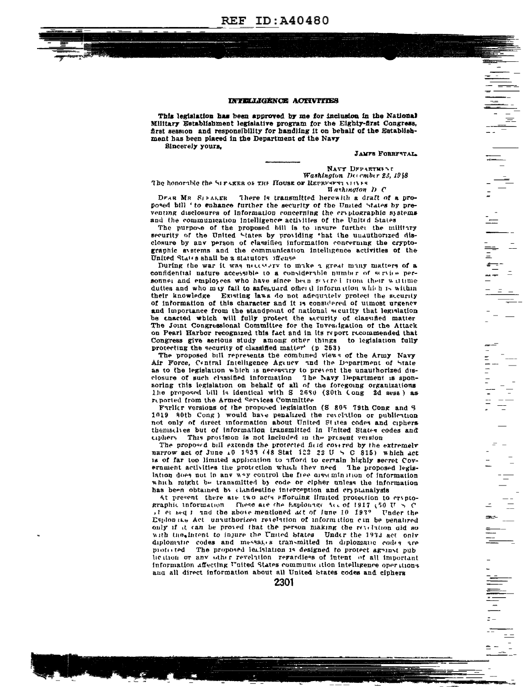

#### INTELLIGENCE ACTIVITIES

This legislation has been approved by me for inclusion in the National Military Establishment legislative program for the Eighty-first Congress, first session and responsibility for handling it on behalf of the Establishment has been placed in the Department of the Navy Sincerely yours,

**JAMFS FORRFSTAL** 

NAVY DFPARTMENT Washington December 23, 1948

The honorable the SIFARER OF THE HOUSE OF REPRESENT MILES **Hashington** D C

There is transmitted herewith a draft of a pro-DEAR MR SIFALER posed bill ' to enhance further the security of the United States by preventing disclosures of information concerning the cryptographic systems and the communication intelligence activities of the United States

The purpose of the proposed bill is to insure furthet the military security of the United States by providing that the unauthorized disclosure by any person of classified information concerning the cryptographic avstems and the communication intelligence activities of the United States shall be a statutory iffense

During the war it was necessary to make a great many matters of a confidential nature accessible to a considerable number of service personner and employees who have since been severed from their writime duttes and who may fail to safeguard ofher d information which is within their knowledge Existing laws do not adequately protect the security of information of this character and it is considered of utmost urgency and importance from the standpoint of national seculity that legislation be enacted which will fully protect the security of classified matter The Joint Congressional Committee for the Investigation of the Attack on Pearl Harbor recognized this fact and in its report recommended that Congress give serious study among other things to legislation fully protecting the security of classified matter<sup>\*</sup> (p 253)

The proposed bill represents the combined views of the Army Navy Air Force, Central Intelligence Agency and the Department of State as to the legislation which is necessary to prevent the unauthorized disclosure of such classified information The Navy Department is sponsoring this legislation on behalf of all of the foregoing organizations The proposed bill is identical with S 2630 (S0th Cong 2d sess) as reported from the Armed Services Committee

Furlier versions of the proposed legislation (S 805 79th Cong and S 1019 80th Cong) would have penalized the revelation or publication not only of direct information about United States codes and ciphers themselves but of information transmitted in United States codes and ciphers. This provision is not included in the present version

The proposed bill extends the protected field covered by the extremely narrow act of June 10 1933 (48 Stat 122 22 U  $\leq$  C 815) which act is of far too limited application to afford to certain highly secret Covernment activities the protection which they need. The proposed legislation does not in any way control the free orssemination of information which might be transmitted by code or cipher unless the information has been obtained by clandestine interception and cryptanalysis

At present there are two acts efforming ilmited protection to cryptographic information. These are the Esploinge Acc of 1917 (50 U  $>$  C il et seq I and the above mentioned act of June 10 193? Under the Esplonate Act unauthorized retelation of information can be penalized only if it can be proved that the person making the revelation old so with the intent to injure the United States Under the 1933 act only diplomatic codes and messages transmitted in diplomatic codes are motorred The proposed leafsiation is designed to protect ageinst oub heition or any other revelation regardless of intent of all important information affecting United States communication intelligence operations and all direct information about all United States codes and ciphers